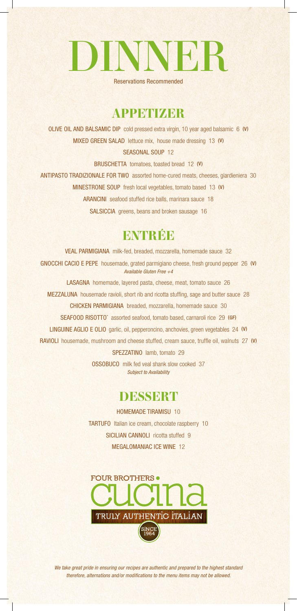# DINNER

Reservations Recommended

# **APPETIZER**

OLIVE OIL AND BALSAMIC DIP cold pressed extra virgin, 10 year aged balsamic 6 (V) MIXED GREEN SALAD lettuce mix, house made dressing 13 (V)

#### SEASONAL SOUP 12

BRUSCHETTA tomatoes, toasted bread 12 (V) ANTIPASTO TRADIZIONALE FOR TWO assorted home-cured meats, cheeses, giardieniera 30 MINESTRONE SOUP fresh local vegetables, tomato based 13 (V) ARANCINI seafood stuffed rice balls, marinara sauce 18 SALSICCIA greens, beans and broken sausage 16

# **ENTRÉE**

VEAL PARMIGIANA milk-fed, breaded, mozzarella, homemade sauce 32 GNOCCHI CACIO E PEPE housemade, grated parmigiano cheese, fresh ground pepper 26 (V) *Available Gluten Free +4* LASAGNA homemade, layered pasta, cheese, meat, tomato sauce 26 MEZZALUNA housemade ravioli, short rib and ricotta stuffing, sage and butter sauce 28 CHICKEN PARMIGIANA breaded, mozzarella, homemade sauce 30 SEAFOOD RISOTTO\* assorted seafood, tomato based, carnaroli rice 29 (GF) LINGUINE AGLIO E OLIO garlic, oil, pepperoncino, anchovies, green vegetables 24 (V) RAVIOLI housemade, mushroom and cheese stuffed, cream sauce, truffle oil, walnuts 27 (V) SPEZZATINO lamb, tomato 29 OSSOBUCO milk fed veal shank slow cooked 37 *Subject to Availability*

# **DESSERT**

HOMEMADE TIRAMISU 10 TARTUFO Italian ice cream, chocolate raspberry 10 SICILIAN CANNOLI ricotta stuffed 9 MEGALOMANIAC ICE WINE 12



*We take great pride in ensuring our recipes are authentic and prepared to the highest standard therefore, alternations and/or modifications to the menu items may not be allowed.*